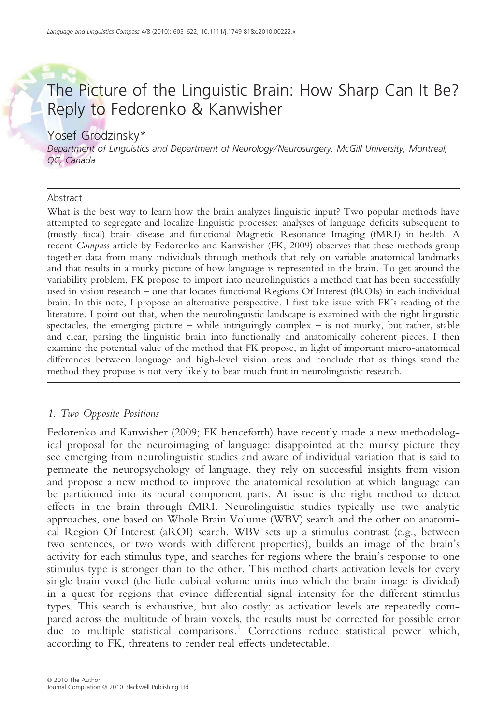# The Picture of the Linguistic Brain: How Sharp Can It Be? Reply to Fedorenko & Kanwisher

## Yosef Grodzinsky\*

Department of Linguistics and Department of Neurology/Neurosurgery, McGill University, Montreal, QC, Canada

#### Abstract

What is the best way to learn how the brain analyzes linguistic input? Two popular methods have attempted to segregate and localize linguistic processes: analyses of language deficits subsequent to (mostly focal) brain disease and functional Magnetic Resonance Imaging (fMRI) in health. A recent Compass article by Fedorenko and Kanwisher (FK, 2009) observes that these methods group together data from many individuals through methods that rely on variable anatomical landmarks and that results in a murky picture of how language is represented in the brain. To get around the variability problem, FK propose to import into neurolinguistics a method that has been successfully used in vision research – one that locates functional Regions Of Interest (fROIs) in each individual brain. In this note, I propose an alternative perspective. I first take issue with FK's reading of the literature. I point out that, when the neurolinguistic landscape is examined with the right linguistic spectacles, the emerging picture – while intriguingly complex – is not murky, but rather, stable and clear, parsing the linguistic brain into functionally and anatomically coherent pieces. I then examine the potential value of the method that FK propose, in light of important micro-anatomical differences between language and high-level vision areas and conclude that as things stand the method they propose is not very likely to bear much fruit in neurolinguistic research.

## 1. Two Opposite Positions

Fedorenko and Kanwisher (2009; FK henceforth) have recently made a new methodological proposal for the neuroimaging of language: disappointed at the murky picture they see emerging from neurolinguistic studies and aware of individual variation that is said to permeate the neuropsychology of language, they rely on successful insights from vision and propose a new method to improve the anatomical resolution at which language can be partitioned into its neural component parts. At issue is the right method to detect effects in the brain through fMRI. Neurolinguistic studies typically use two analytic approaches, one based on Whole Brain Volume (WBV) search and the other on anatomical Region Of Interest (aROI) search. WBV sets up a stimulus contrast (e.g., between two sentences, or two words with different properties), builds an image of the brain's activity for each stimulus type, and searches for regions where the brain's response to one stimulus type is stronger than to the other. This method charts activation levels for every single brain voxel (the little cubical volume units into which the brain image is divided) in a quest for regions that evince differential signal intensity for the different stimulus types. This search is exhaustive, but also costly: as activation levels are repeatedly compared across the multitude of brain voxels, the results must be corrected for possible error due to multiple statistical comparisons.<sup>1</sup> Corrections reduce statistical power which, according to FK, threatens to render real effects undetectable.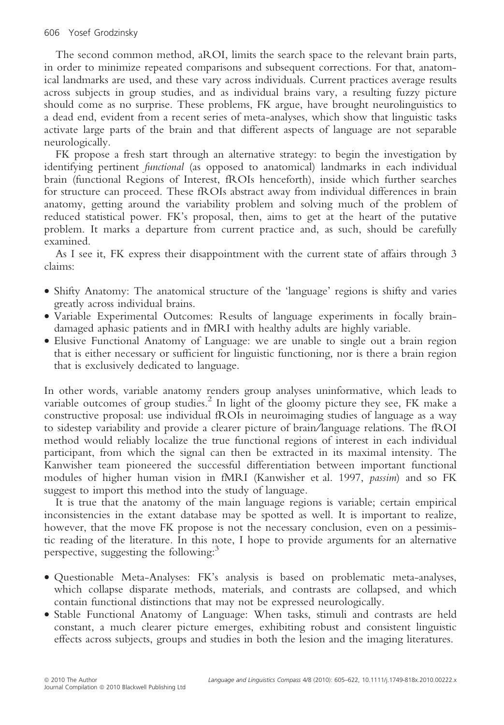The second common method, aROI, limits the search space to the relevant brain parts, in order to minimize repeated comparisons and subsequent corrections. For that, anatomical landmarks are used, and these vary across individuals. Current practices average results across subjects in group studies, and as individual brains vary, a resulting fuzzy picture should come as no surprise. These problems, FK argue, have brought neurolinguistics to a dead end, evident from a recent series of meta-analyses, which show that linguistic tasks activate large parts of the brain and that different aspects of language are not separable neurologically.

FK propose a fresh start through an alternative strategy: to begin the investigation by identifying pertinent functional (as opposed to anatomical) landmarks in each individual brain (functional Regions of Interest, fROIs henceforth), inside which further searches for structure can proceed. These fROIs abstract away from individual differences in brain anatomy, getting around the variability problem and solving much of the problem of reduced statistical power. FK's proposal, then, aims to get at the heart of the putative problem. It marks a departure from current practice and, as such, should be carefully examined.

As I see it, FK express their disappointment with the current state of affairs through 3 claims:

- Shifty Anatomy: The anatomical structure of the 'language' regions is shifty and varies greatly across individual brains.
- Variable Experimental Outcomes: Results of language experiments in focally braindamaged aphasic patients and in fMRI with healthy adults are highly variable.
- Elusive Functional Anatomy of Language: we are unable to single out a brain region that is either necessary or sufficient for linguistic functioning, nor is there a brain region that is exclusively dedicated to language.

In other words, variable anatomy renders group analyses uninformative, which leads to variable outcomes of group studies.<sup>2</sup> In light of the gloomy picture they see, FK make a constructive proposal: use individual fROIs in neuroimaging studies of language as a way to sidestep variability and provide a clearer picture of brain⁄ language relations. The fROI method would reliably localize the true functional regions of interest in each individual participant, from which the signal can then be extracted in its maximal intensity. The Kanwisher team pioneered the successful differentiation between important functional modules of higher human vision in fMRI (Kanwisher et al. 1997, passim) and so FK suggest to import this method into the study of language.

It is true that the anatomy of the main language regions is variable; certain empirical inconsistencies in the extant database may be spotted as well. It is important to realize, however, that the move FK propose is not the necessary conclusion, even on a pessimistic reading of the literature. In this note, I hope to provide arguments for an alternative perspective, suggesting the following: $3$ 

- Questionable Meta-Analyses: FK's analysis is based on problematic meta-analyses, which collapse disparate methods, materials, and contrasts are collapsed, and which contain functional distinctions that may not be expressed neurologically.
- Stable Functional Anatomy of Language: When tasks, stimuli and contrasts are held constant, a much clearer picture emerges, exhibiting robust and consistent linguistic effects across subjects, groups and studies in both the lesion and the imaging literatures.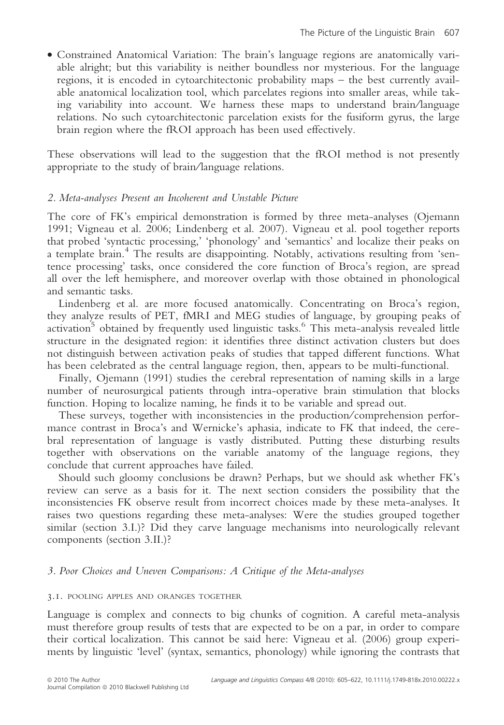• Constrained Anatomical Variation: The brain's language regions are anatomically variable alright; but this variability is neither boundless nor mysterious. For the language regions, it is encoded in cytoarchitectonic probability maps – the best currently available anatomical localization tool, which parcelates regions into smaller areas, while taking variability into account. We harness these maps to understand brain⁄ language relations. No such cytoarchitectonic parcelation exists for the fusiform gyrus, the large brain region where the fROI approach has been used effectively.

These observations will lead to the suggestion that the fROI method is not presently appropriate to the study of brain⁄ language relations.

## 2. Meta-analyses Present an Incoherent and Unstable Picture

The core of FK's empirical demonstration is formed by three meta-analyses (Ojemann 1991; Vigneau et al. 2006; Lindenberg et al. 2007). Vigneau et al. pool together reports that probed 'syntactic processing,' 'phonology' and 'semantics' and localize their peaks on a template brain.<sup>4</sup> The results are disappointing. Notably, activations resulting from 'sentence processing' tasks, once considered the core function of Broca's region, are spread all over the left hemisphere, and moreover overlap with those obtained in phonological and semantic tasks.

Lindenberg et al. are more focused anatomically. Concentrating on Broca's region, they analyze results of PET, fMRI and MEG studies of language, by grouping peaks of activation<sup>5</sup> obtained by frequently used linguistic tasks.<sup>6</sup> This meta-analysis revealed little structure in the designated region: it identifies three distinct activation clusters but does not distinguish between activation peaks of studies that tapped different functions. What has been celebrated as the central language region, then, appears to be multi-functional.

Finally, Ojemann (1991) studies the cerebral representation of naming skills in a large number of neurosurgical patients through intra-operative brain stimulation that blocks function. Hoping to localize naming, he finds it to be variable and spread out.

These surveys, together with inconsistencies in the production/comprehension performance contrast in Broca's and Wernicke's aphasia, indicate to FK that indeed, the cerebral representation of language is vastly distributed. Putting these disturbing results together with observations on the variable anatomy of the language regions, they conclude that current approaches have failed.

Should such gloomy conclusions be drawn? Perhaps, but we should ask whether FK's review can serve as a basis for it. The next section considers the possibility that the inconsistencies FK observe result from incorrect choices made by these meta-analyses. It raises two questions regarding these meta-analyses: Were the studies grouped together similar (section 3.I.)? Did they carve language mechanisms into neurologically relevant components (section 3.II.)?

## 3. Poor Choices and Uneven Comparisons: A Critique of the Meta-analyses

#### 3.1. POOLING APPLES AND ORANGES TOGETHER

Language is complex and connects to big chunks of cognition. A careful meta-analysis must therefore group results of tests that are expected to be on a par, in order to compare their cortical localization. This cannot be said here: Vigneau et al. (2006) group experiments by linguistic 'level' (syntax, semantics, phonology) while ignoring the contrasts that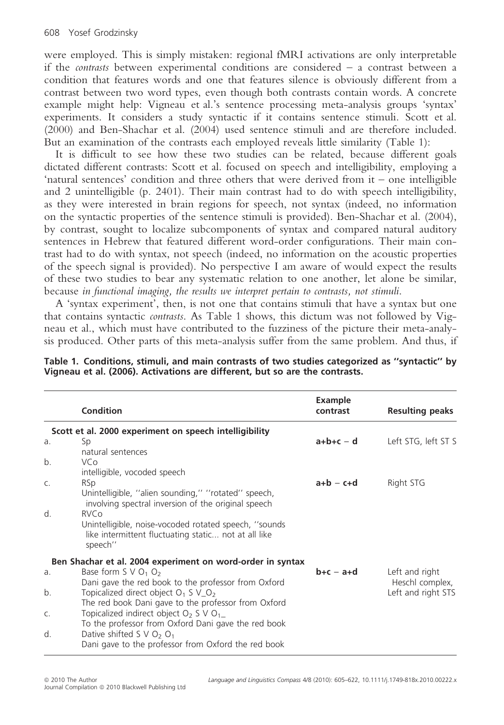were employed. This is simply mistaken: regional fMRI activations are only interpretable if the contrasts between experimental conditions are considered – a contrast between a condition that features words and one that features silence is obviously different from a contrast between two word types, even though both contrasts contain words. A concrete example might help: Vigneau et al.'s sentence processing meta-analysis groups 'syntax' experiments. It considers a study syntactic if it contains sentence stimuli. Scott et al. (2000) and Ben-Shachar et al. (2004) used sentence stimuli and are therefore included. But an examination of the contrasts each employed reveals little similarity (Table 1):

It is difficult to see how these two studies can be related, because different goals dictated different contrasts: Scott et al. focused on speech and intelligibility, employing a 'natural sentences' condition and three others that were derived from it – one intelligible and 2 unintelligible (p. 2401). Their main contrast had to do with speech intelligibility, as they were interested in brain regions for speech, not syntax (indeed, no information on the syntactic properties of the sentence stimuli is provided). Ben-Shachar et al. (2004), by contrast, sought to localize subcomponents of syntax and compared natural auditory sentences in Hebrew that featured different word-order configurations. Their main contrast had to do with syntax, not speech (indeed, no information on the acoustic properties of the speech signal is provided). No perspective I am aware of would expect the results of these two studies to bear any systematic relation to one another, let alone be similar, because in functional imaging, the results we interpret pertain to contrasts, not stimuli.

A 'syntax experiment', then, is not one that contains stimuli that have a syntax but one that contains syntactic contrasts. As Table 1 shows, this dictum was not followed by Vigneau et al., which must have contributed to the fuzziness of the picture their meta-analysis produced. Other parts of this meta-analysis suffer from the same problem. And thus, if

|    | <b>Condition</b>                                                                                                         | <b>Example</b><br>contrast | <b>Resulting peaks</b> |
|----|--------------------------------------------------------------------------------------------------------------------------|----------------------------|------------------------|
|    | Scott et al. 2000 experiment on speech intelligibility                                                                   |                            |                        |
| a. | Sp                                                                                                                       | $a+b+c-d$                  | Left STG, left ST S    |
|    | natural sentences                                                                                                        |                            |                        |
| b. | VCo                                                                                                                      |                            |                        |
|    | intelligible, vocoded speech                                                                                             |                            |                        |
| C. | <b>RSp</b>                                                                                                               | $a+b - c+d$                | Right STG              |
|    | Unintelligible, "alien sounding," "rotated" speech,<br>involving spectral inversion of the original speech               |                            |                        |
| d. | <b>RVCo</b>                                                                                                              |                            |                        |
|    | Unintelligible, noise-vocoded rotated speech, "sounds<br>like intermittent fluctuating static not at all like<br>speech" |                            |                        |
|    | Ben Shachar et al. 2004 experiment on word-order in syntax                                                               |                            |                        |
| a. | Base form S V $O_1$ $O_2$                                                                                                | $b+c - a+d$                | Left and right         |
|    | Dani gave the red book to the professor from Oxford                                                                      |                            | Heschl complex,        |
| b. | Topicalized direct object $O_1$ S V_O <sub>2</sub>                                                                       |                            | Left and right STS     |
|    | The red book Dani gave to the professor from Oxford                                                                      |                            |                        |
| C. | Topicalized indirect object $O_2$ S V $O_{1-}$                                                                           |                            |                        |
|    | To the professor from Oxford Dani gave the red book                                                                      |                            |                        |
| d. | Dative shifted S V $O_2$ $O_1$                                                                                           |                            |                        |
|    | Dani gave to the professor from Oxford the red book                                                                      |                            |                        |

Table 1. Conditions, stimuli, and main contrasts of two studies categorized as ''syntactic'' by Vigneau et al. (2006). Activations are different, but so are the contrasts.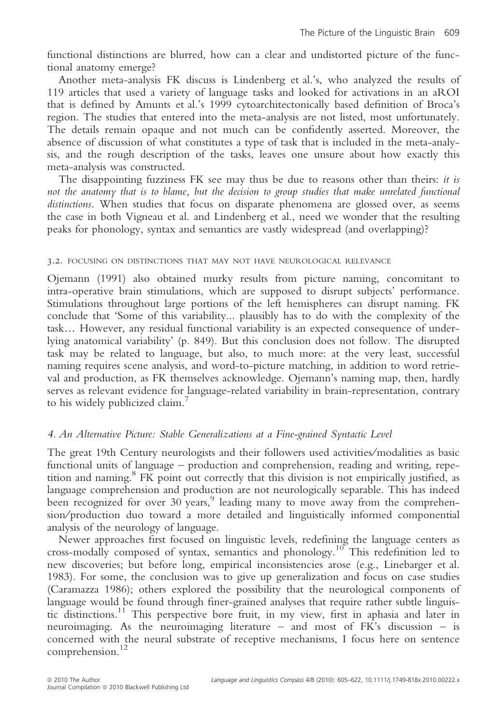functional distinctions are blurred, how can a clear and undistorted picture of the functional anatomy emerge?

Another meta-analysis FK discuss is Lindenberg et al.'s, who analyzed the results of 119 articles that used a variety of language tasks and looked for activations in an aROI that is defined by Amunts et al.'s 1999 cytoarchitectonically based definition of Broca's region. The studies that entered into the meta-analysis are not listed, most unfortunately. The details remain opaque and not much can be confidently asserted. Moreover, the absence of discussion of what constitutes a type of task that is included in the meta-analysis, and the rough description of the tasks, leaves one unsure about how exactly this meta-analysis was constructed.

The disappointing fuzziness FK see may thus be due to reasons other than theirs: it is not the anatomy that is to blame, but the decision to group studies that make unrelated functional distinctions. When studies that focus on disparate phenomena are glossed over, as seems the case in both Vigneau et al. and Lindenberg et al., need we wonder that the resulting peaks for phonology, syntax and semantics are vastly widespread (and overlapping)?

## 3.2. FOCUSING ON DISTINCTIONS THAT MAY NOT HAVE NEUROLOGICAL RELEVANCE

Ojemann (1991) also obtained murky results from picture naming, concomitant to intra-operative brain stimulations, which are supposed to disrupt subjects' performance. Stimulations throughout large portions of the left hemispheres can disrupt naming. FK conclude that 'Some of this variability... plausibly has to do with the complexity of the task… However, any residual functional variability is an expected consequence of underlying anatomical variability' (p. 849). But this conclusion does not follow. The disrupted task may be related to language, but also, to much more: at the very least, successful naming requires scene analysis, and word-to-picture matching, in addition to word retrieval and production, as FK themselves acknowledge. Ojemann's naming map, then, hardly serves as relevant evidence for language-related variability in brain-representation, contrary to his widely publicized claim.<sup>7</sup>

# 4. An Alternative Picture: Stable Generalizations at a Fine-grained Syntactic Level

The great 19th Century neurologists and their followers used activities⁄modalities as basic functional units of language – production and comprehension, reading and writing, repetition and naming.8 FK point out correctly that this division is not empirically justified, as language comprehension and production are not neurologically separable. This has indeed been recognized for over  $30$  years,<sup>9</sup> leading many to move away from the comprehension/production duo toward a more detailed and linguistically informed componential analysis of the neurology of language.

Newer approaches first focused on linguistic levels, redefining the language centers as cross-modally composed of syntax, semantics and phonology.<sup>10</sup> This redefinition led to new discoveries; but before long, empirical inconsistencies arose (e.g., Linebarger et al. 1983). For some, the conclusion was to give up generalization and focus on case studies (Caramazza 1986); others explored the possibility that the neurological components of language would be found through finer-grained analyses that require rather subtle linguistic distinctions.11 This perspective bore fruit, in my view, first in aphasia and later in neuroimaging. As the neuroimaging literature – and most of FK's discussion – is concerned with the neural substrate of receptive mechanisms, I focus here on sentence comprehension.<sup>12</sup>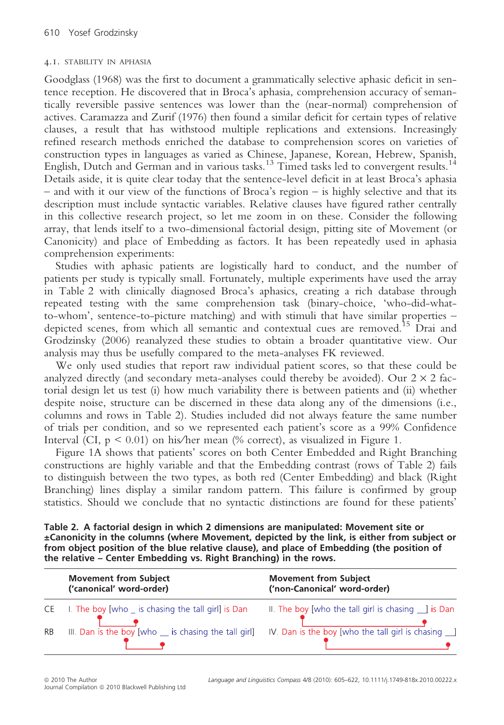#### 4.1. STABILITY IN APHASIA

Goodglass (1968) was the first to document a grammatically selective aphasic deficit in sentence reception. He discovered that in Broca's aphasia, comprehension accuracy of semantically reversible passive sentences was lower than the (near-normal) comprehension of actives. Caramazza and Zurif (1976) then found a similar deficit for certain types of relative clauses, a result that has withstood multiple replications and extensions. Increasingly refined research methods enriched the database to comprehension scores on varieties of construction types in languages as varied as Chinese, Japanese, Korean, Hebrew, Spanish, English, Dutch and German and in various tasks.<sup>13</sup> Timed tasks led to convergent results.<sup>14</sup> Details aside, it is quite clear today that the sentence-level deficit in at least Broca's aphasia – and with it our view of the functions of Broca's region – is highly selective and that its description must include syntactic variables. Relative clauses have figured rather centrally in this collective research project, so let me zoom in on these. Consider the following array, that lends itself to a two-dimensional factorial design, pitting site of Movement (or Canonicity) and place of Embedding as factors. It has been repeatedly used in aphasia comprehension experiments:

Studies with aphasic patients are logistically hard to conduct, and the number of patients per study is typically small. Fortunately, multiple experiments have used the array in Table 2 with clinically diagnosed Broca's aphasics, creating a rich database through repeated testing with the same comprehension task (binary-choice, 'who-did-whatto-whom', sentence-to-picture matching) and with stimuli that have similar properties – depicted scenes, from which all semantic and contextual cues are removed.15 Drai and Grodzinsky (2006) reanalyzed these studies to obtain a broader quantitative view. Our analysis may thus be usefully compared to the meta-analyses FK reviewed.

We only used studies that report raw individual patient scores, so that these could be analyzed directly (and secondary meta-analyses could thereby be avoided). Our  $2 \times 2$  factorial design let us test (i) how much variability there is between patients and (ii) whether despite noise, structure can be discerned in these data along any of the dimensions (i.e., columns and rows in Table 2). Studies included did not always feature the same number of trials per condition, and so we represented each patient's score as a 99% Confidence Interval (CI,  $p < 0.01$ ) on his/her mean (% correct), as visualized in Figure 1.

Figure 1A shows that patients' scores on both Center Embedded and Right Branching constructions are highly variable and that the Embedding contrast (rows of Table 2) fails to distinguish between the two types, as both red (Center Embedding) and black (Right Branching) lines display a similar random pattern. This failure is confirmed by group statistics. Should we conclude that no syntactic distinctions are found for these patients'

| Table 2. A factorial design in which 2 dimensions are manipulated: Movement site or         |
|---------------------------------------------------------------------------------------------|
| ±Canonicity in the columns (where Movement, depicted by the link, is either from subject or |
| from object position of the blue relative clause), and place of Embedding (the position of  |
| the relative – Center Embedding vs. Right Branching) in the rows.                           |

|           | <b>Movement from Subject</b><br>('canonical' word-order)                       | <b>Movement from Subject</b><br>('non-Canonical' word-order) |
|-----------|--------------------------------------------------------------------------------|--------------------------------------------------------------|
|           | CE $\blacksquare$ The boy [who $\blacksquare$ is chasing the tall girl] is Dan | II. The boy [who the tall girl is chasing $\parallel$ is Dan |
| <b>RB</b> | III. Dan is the boy [who _ is chasing the tall girl]                           | IV. Dan is the boy [who the tall girl is chasing $\Box$ ]    |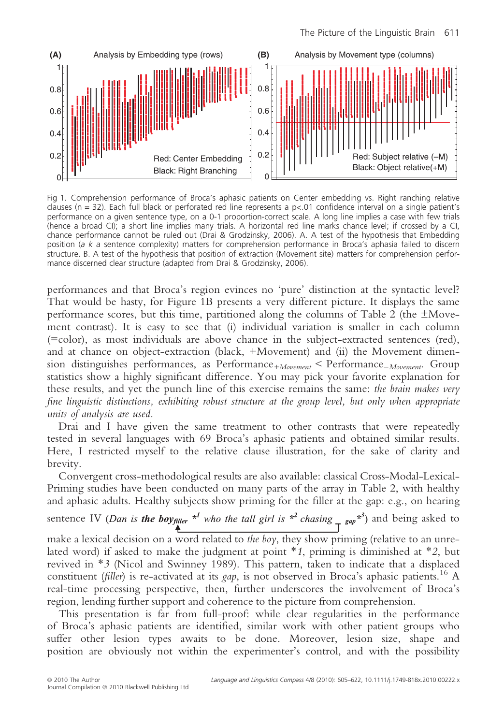

Fig 1. Comprehension performance of Broca's aphasic patients on Center embedding vs. Right ranching relative clauses (n = 32). Each full black or perforated red line represents a  $pc.01$  confidence interval on a single patient's performance on a given sentence type, on a 0-1 proportion-correct scale. A long line implies a case with few trials (hence a broad CI); a short line implies many trials. A horizontal red line marks chance level; if crossed by a CI, chance performance cannot be ruled out (Drai & Grodzinsky, 2006). A. A test of the hypothesis that Embedding position (a  $k$  a sentence complexity) matters for comprehension performance in Broca's aphasia failed to discern structure. B. A test of the hypothesis that position of extraction (Movement site) matters for comprehension performance discerned clear structure (adapted from Drai & Grodzinsky, 2006).

performances and that Broca's region evinces no 'pure' distinction at the syntactic level? That would be hasty, for Figure 1B presents a very different picture. It displays the same performance scores, but this time, partitioned along the columns of Table 2 (the  $\pm$ Movement contrast). It is easy to see that (i) individual variation is smaller in each column (=color), as most individuals are above chance in the subject-extracted sentences (red), and at chance on object-extraction (black, +Movement) and (ii) the Movement dimension distinguishes performances, as  $P$ erformance $_{+Movement}$  <  $P$ erformance $_{-Movement}$ . Group statistics show a highly significant difference. You may pick your favorite explanation for these results, and yet the punch line of this exercise remains the same: the brain makes very fine linguistic distinctions, exhibiting robust structure at the group level, but only when appropriate units of analysis are used.

Drai and I have given the same treatment to other contrasts that were repeatedly tested in several languages with 69 Broca's aphasic patients and obtained similar results. Here, I restricted myself to the relative clause illustration, for the sake of clarity and brevity.

Convergent cross-methodological results are also available: classical Cross-Modal-Lexical-Priming studies have been conducted on many parts of the array in Table 2, with healthy and aphasic adults. Healthy subjects show priming for the filler at the gap: e.g., on hearing

sentence IV (Dan is the boy<sub>filler</sub>  $*^I$  who the tall girl is  $*^2$  chasing  $\frac{1}{I}$  gap<sup> $*^3$ </sup>) and being asked to

make a lexical decision on a word related to the boy, they show priming (relative to an unrelated word) if asked to make the judgment at point \*1, priming is diminished at \*2, but revived in \*3 (Nicol and Swinney 1989). This pattern, taken to indicate that a displaced constituent (filler) is re-activated at its gap, is not observed in Broca's aphasic patients.<sup>16</sup> A real-time processing perspective, then, further underscores the involvement of Broca's region, lending further support and coherence to the picture from comprehension.

This presentation is far from full-proof: while clear regularities in the performance of Broca's aphasic patients are identified, similar work with other patient groups who suffer other lesion types awaits to be done. Moreover, lesion size, shape and position are obviously not within the experimenter's control, and with the possibility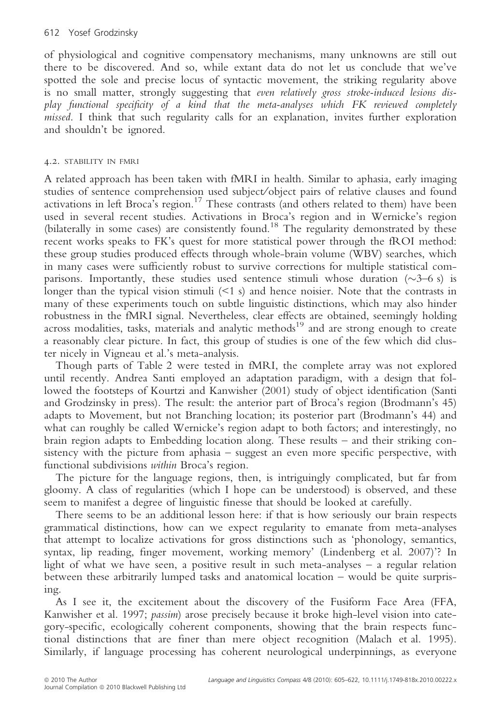of physiological and cognitive compensatory mechanisms, many unknowns are still out there to be discovered. And so, while extant data do not let us conclude that we've spotted the sole and precise locus of syntactic movement, the striking regularity above is no small matter, strongly suggesting that even relatively gross stroke-induced lesions display functional specificity of a kind that the meta-analyses which FK reviewed completely missed. I think that such regularity calls for an explanation, invites further exploration and shouldn't be ignored.

## 4.2. STABILITY IN FMRI

A related approach has been taken with fMRI in health. Similar to aphasia, early imaging studies of sentence comprehension used subject⁄object pairs of relative clauses and found activations in left Broca's region.<sup>17</sup> These contrasts (and others related to them) have been used in several recent studies. Activations in Broca's region and in Wernicke's region (bilaterally in some cases) are consistently found.<sup>18</sup> The regularity demonstrated by these recent works speaks to FK's quest for more statistical power through the fROI method: these group studies produced effects through whole-brain volume (WBV) searches, which in many cases were sufficiently robust to survive corrections for multiple statistical comparisons. Importantly, these studies used sentence stimuli whose duration  $(\sim]3-6$  s) is longer than the typical vision stimuli  $(51 s)$  and hence noisier. Note that the contrasts in many of these experiments touch on subtle linguistic distinctions, which may also hinder robustness in the fMRI signal. Nevertheless, clear effects are obtained, seemingly holding across modalities, tasks, materials and analytic methods<sup>19</sup> and are strong enough to create a reasonably clear picture. In fact, this group of studies is one of the few which did cluster nicely in Vigneau et al.'s meta-analysis.

Though parts of Table 2 were tested in fMRI, the complete array was not explored until recently. Andrea Santi employed an adaptation paradigm, with a design that followed the footsteps of Kourtzi and Kanwisher (2001) study of object identification (Santi and Grodzinsky in press). The result: the anterior part of Broca's region (Brodmann's 45) adapts to Movement, but not Branching location; its posterior part (Brodmann's 44) and what can roughly be called Wernicke's region adapt to both factors; and interestingly, no brain region adapts to Embedding location along. These results – and their striking consistency with the picture from aphasia – suggest an even more specific perspective, with functional subdivisions within Broca's region.

The picture for the language regions, then, is intriguingly complicated, but far from gloomy. A class of regularities (which I hope can be understood) is observed, and these seem to manifest a degree of linguistic finesse that should be looked at carefully.

There seems to be an additional lesson here: if that is how seriously our brain respects grammatical distinctions, how can we expect regularity to emanate from meta-analyses that attempt to localize activations for gross distinctions such as 'phonology, semantics, syntax, lip reading, finger movement, working memory' (Lindenberg et al. 2007)'? In light of what we have seen, a positive result in such meta-analyses – a regular relation between these arbitrarily lumped tasks and anatomical location – would be quite surprising.

As I see it, the excitement about the discovery of the Fusiform Face Area (FFA, Kanwisher et al. 1997; passim) arose precisely because it broke high-level vision into category-specific, ecologically coherent components, showing that the brain respects functional distinctions that are finer than mere object recognition (Malach et al. 1995). Similarly, if language processing has coherent neurological underpinnings, as everyone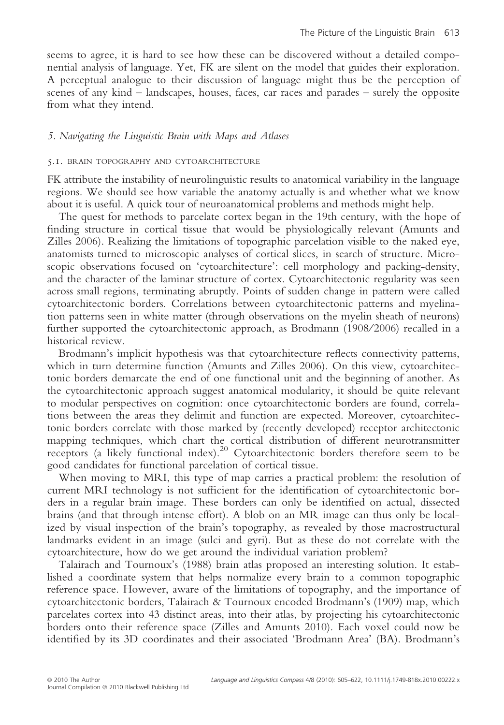seems to agree, it is hard to see how these can be discovered without a detailed componential analysis of language. Yet, FK are silent on the model that guides their exploration. A perceptual analogue to their discussion of language might thus be the perception of scenes of any kind – landscapes, houses, faces, car races and parades – surely the opposite from what they intend.

## 5. Navigating the Linguistic Brain with Maps and Atlases

#### 5.1. BRAIN TOPOGRAPHY AND CYTOARCHITECTURE

FK attribute the instability of neurolinguistic results to anatomical variability in the language regions. We should see how variable the anatomy actually is and whether what we know about it is useful. A quick tour of neuroanatomical problems and methods might help.

The quest for methods to parcelate cortex began in the 19th century, with the hope of finding structure in cortical tissue that would be physiologically relevant (Amunts and Zilles 2006). Realizing the limitations of topographic parcelation visible to the naked eye, anatomists turned to microscopic analyses of cortical slices, in search of structure. Microscopic observations focused on 'cytoarchitecture': cell morphology and packing-density, and the character of the laminar structure of cortex. Cytoarchitectonic regularity was seen across small regions, terminating abruptly. Points of sudden change in pattern were called cytoarchitectonic borders. Correlations between cytoarchitectonic patterns and myelination patterns seen in white matter (through observations on the myelin sheath of neurons) further supported the cytoarchitectonic approach, as Brodmann (1908/2006) recalled in a historical review.

Brodmann's implicit hypothesis was that cytoarchitecture reflects connectivity patterns, which in turn determine function (Amunts and Zilles 2006). On this view, cytoarchitectonic borders demarcate the end of one functional unit and the beginning of another. As the cytoarchitectonic approach suggest anatomical modularity, it should be quite relevant to modular perspectives on cognition: once cytoarchitectonic borders are found, correlations between the areas they delimit and function are expected. Moreover, cytoarchitectonic borders correlate with those marked by (recently developed) receptor architectonic mapping techniques, which chart the cortical distribution of different neurotransmitter receptors (a likely functional index).<sup>20</sup> Cytoarchitectonic borders therefore seem to be good candidates for functional parcelation of cortical tissue.

When moving to MRI, this type of map carries a practical problem: the resolution of current MRI technology is not sufficient for the identification of cytoarchitectonic borders in a regular brain image. These borders can only be identified on actual, dissected brains (and that through intense effort). A blob on an MR image can thus only be localized by visual inspection of the brain's topography, as revealed by those macrostructural landmarks evident in an image (sulci and gyri). But as these do not correlate with the cytoarchitecture, how do we get around the individual variation problem?

Talairach and Tournoux's (1988) brain atlas proposed an interesting solution. It established a coordinate system that helps normalize every brain to a common topographic reference space. However, aware of the limitations of topography, and the importance of cytoarchitectonic borders, Talairach & Tournoux encoded Brodmann's (1909) map, which parcelates cortex into 43 distinct areas, into their atlas, by projecting his cytoarchitectonic borders onto their reference space (Zilles and Amunts 2010). Each voxel could now be identified by its 3D coordinates and their associated 'Brodmann Area' (BA). Brodmann's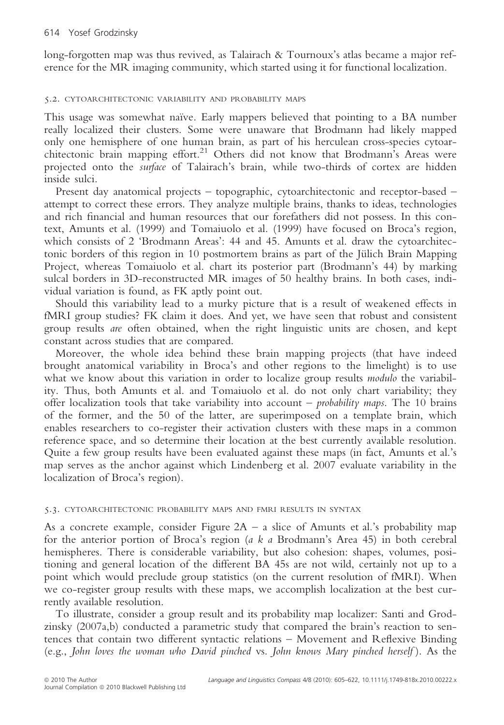long-forgotten map was thus revived, as Talairach & Tournoux's atlas became a major reference for the MR imaging community, which started using it for functional localization.

### 5.2. CYTOARCHITECTONIC VARIABILITY AND PROBABILITY MAPS

This usage was somewhat naïve. Early mappers believed that pointing to a BA number really localized their clusters. Some were unaware that Brodmann had likely mapped only one hemisphere of one human brain, as part of his herculean cross-species cytoarchitectonic brain mapping effort.<sup>21</sup> Others did not know that Brodmann's Areas were projected onto the surface of Talairach's brain, while two-thirds of cortex are hidden inside sulci.

Present day anatomical projects – topographic, cytoarchitectonic and receptor-based – attempt to correct these errors. They analyze multiple brains, thanks to ideas, technologies and rich financial and human resources that our forefathers did not possess. In this context, Amunts et al. (1999) and Tomaiuolo et al. (1999) have focused on Broca's region, which consists of 2 'Brodmann Areas': 44 and 45. Amunts et al. draw the cytoarchitectonic borders of this region in 10 postmortem brains as part of the Jülich Brain Mapping Project, whereas Tomaiuolo et al. chart its posterior part (Brodmann's 44) by marking sulcal borders in 3D-reconstructed MR images of 50 healthy brains. In both cases, individual variation is found, as FK aptly point out.

Should this variability lead to a murky picture that is a result of weakened effects in fMRI group studies? FK claim it does. And yet, we have seen that robust and consistent group results are often obtained, when the right linguistic units are chosen, and kept constant across studies that are compared.

Moreover, the whole idea behind these brain mapping projects (that have indeed brought anatomical variability in Broca's and other regions to the limelight) is to use what we know about this variation in order to localize group results *modulo* the variability. Thus, both Amunts et al. and Tomaiuolo et al. do not only chart variability; they offer localization tools that take variability into account – *probability maps*. The 10 brains of the former, and the 50 of the latter, are superimposed on a template brain, which enables researchers to co-register their activation clusters with these maps in a common reference space, and so determine their location at the best currently available resolution. Quite a few group results have been evaluated against these maps (in fact, Amunts et al.'s map serves as the anchor against which Lindenberg et al. 2007 evaluate variability in the localization of Broca's region).

## 5.3. CYTOARCHITECTONIC PROBABILITY MAPS AND FMRI RESULTS IN SYNTAX

As a concrete example, consider Figure  $2A - a$  slice of Amunts et al.'s probability map for the anterior portion of Broca's region (a  $k$  a Brodmann's Area 45) in both cerebral hemispheres. There is considerable variability, but also cohesion: shapes, volumes, positioning and general location of the different BA 45s are not wild, certainly not up to a point which would preclude group statistics (on the current resolution of fMRI). When we co-register group results with these maps, we accomplish localization at the best currently available resolution.

To illustrate, consider a group result and its probability map localizer: Santi and Grodzinsky (2007a,b) conducted a parametric study that compared the brain's reaction to sentences that contain two different syntactic relations – Movement and Reflexive Binding (e.g., John loves the woman who David pinched vs. John knows Mary pinched herself ). As the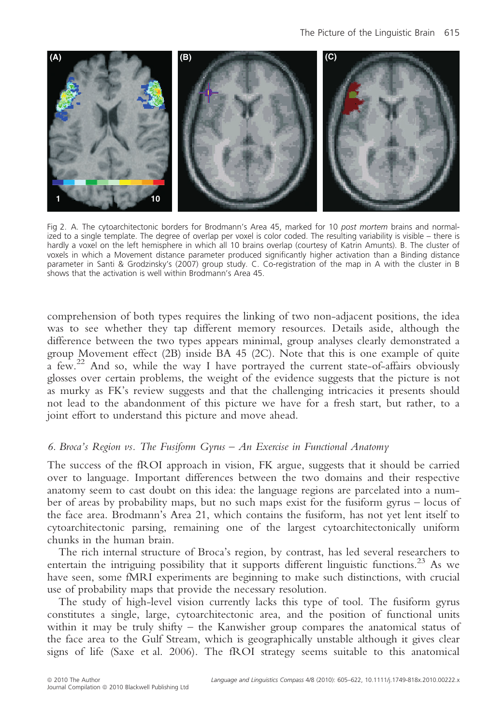

Fig 2. A. The cytoarchitectonic borders for Brodmann's Area 45, marked for 10 post mortem brains and normalized to a single template. The degree of overlap per voxel is color coded. The resulting variability is visible – there is hardly a voxel on the left hemisphere in which all 10 brains overlap (courtesy of Katrin Amunts). B. The cluster of voxels in which a Movement distance parameter produced significantly higher activation than a Binding distance parameter in Santi & Grodzinsky's (2007) group study. C. Co-registration of the map in A with the cluster in B shows that the activation is well within Brodmann's Area 45.

comprehension of both types requires the linking of two non-adjacent positions, the idea was to see whether they tap different memory resources. Details aside, although the difference between the two types appears minimal, group analyses clearly demonstrated a group Movement effect (2B) inside BA 45 (2C). Note that this is one example of quite a few.<sup>22</sup> And so, while the way I have portrayed the current state-of-affairs obviously glosses over certain problems, the weight of the evidence suggests that the picture is not as murky as FK's review suggests and that the challenging intricacies it presents should not lead to the abandonment of this picture we have for a fresh start, but rather, to a joint effort to understand this picture and move ahead.

#### 6. Broca's Region vs. The Fusiform Gyrus – An Exercise in Functional Anatomy

The success of the fROI approach in vision, FK argue, suggests that it should be carried over to language. Important differences between the two domains and their respective anatomy seem to cast doubt on this idea: the language regions are parcelated into a number of areas by probability maps, but no such maps exist for the fusiform gyrus – locus of the face area. Brodmann's Area 21, which contains the fusiform, has not yet lent itself to cytoarchitectonic parsing, remaining one of the largest cytoarchitectonically uniform chunks in the human brain.

The rich internal structure of Broca's region, by contrast, has led several researchers to entertain the intriguing possibility that it supports different linguistic functions.<sup>23</sup> As we have seen, some fMRI experiments are beginning to make such distinctions, with crucial use of probability maps that provide the necessary resolution.

The study of high-level vision currently lacks this type of tool. The fusiform gyrus constitutes a single, large, cytoarchitectonic area, and the position of functional units within it may be truly shifty – the Kanwisher group compares the anatomical status of the face area to the Gulf Stream, which is geographically unstable although it gives clear signs of life (Saxe et al. 2006). The fROI strategy seems suitable to this anatomical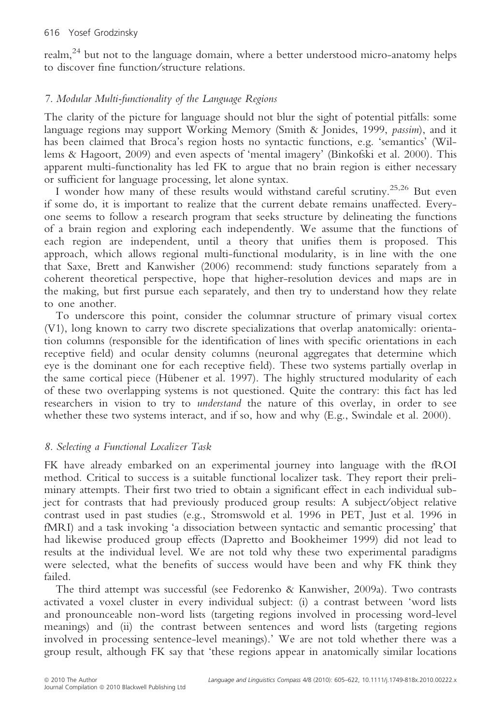realm, $^{24}$  but not to the language domain, where a better understood micro-anatomy helps to discover fine function/structure relations.

# 7. Modular Multi-functionality of the Language Regions

The clarity of the picture for language should not blur the sight of potential pitfalls: some language regions may support Working Memory (Smith & Jonides, 1999, passim), and it has been claimed that Broca's region hosts no syntactic functions, e.g. 'semantics' (Willems & Hagoort, 2009) and even aspects of 'mental imagery' (Binkofski et al. 2000). This apparent multi-functionality has led FK to argue that no brain region is either necessary or sufficient for language processing, let alone syntax.

I wonder how many of these results would withstand careful scrutiny.25,26 But even if some do, it is important to realize that the current debate remains unaffected. Everyone seems to follow a research program that seeks structure by delineating the functions of a brain region and exploring each independently. We assume that the functions of each region are independent, until a theory that unifies them is proposed. This approach, which allows regional multi-functional modularity, is in line with the one that Saxe, Brett and Kanwisher (2006) recommend: study functions separately from a coherent theoretical perspective, hope that higher-resolution devices and maps are in the making, but first pursue each separately, and then try to understand how they relate to one another.

To underscore this point, consider the columnar structure of primary visual cortex (V1), long known to carry two discrete specializations that overlap anatomically: orientation columns (responsible for the identification of lines with specific orientations in each receptive field) and ocular density columns (neuronal aggregates that determine which eye is the dominant one for each receptive field). These two systems partially overlap in the same cortical piece (Hübener et al. 1997). The highly structured modularity of each of these two overlapping systems is not questioned. Quite the contrary: this fact has led researchers in vision to try to understand the nature of this overlay, in order to see whether these two systems interact, and if so, how and why (E.g., Swindale et al. 2000).

# 8. Selecting a Functional Localizer Task

FK have already embarked on an experimental journey into language with the fROI method. Critical to success is a suitable functional localizer task. They report their preliminary attempts. Their first two tried to obtain a significant effect in each individual subject for contrasts that had previously produced group results: A subject⁄object relative contrast used in past studies (e.g., Stromswold et al. 1996 in PET, Just et al. 1996 in fMRI) and a task invoking 'a dissociation between syntactic and semantic processing' that had likewise produced group effects (Dapretto and Bookheimer 1999) did not lead to results at the individual level. We are not told why these two experimental paradigms were selected, what the benefits of success would have been and why FK think they failed.

The third attempt was successful (see Fedorenko & Kanwisher, 2009a). Two contrasts activated a voxel cluster in every individual subject: (i) a contrast between 'word lists and pronounceable non-word lists (targeting regions involved in processing word-level meanings) and (ii) the contrast between sentences and word lists (targeting regions involved in processing sentence-level meanings).' We are not told whether there was a group result, although FK say that 'these regions appear in anatomically similar locations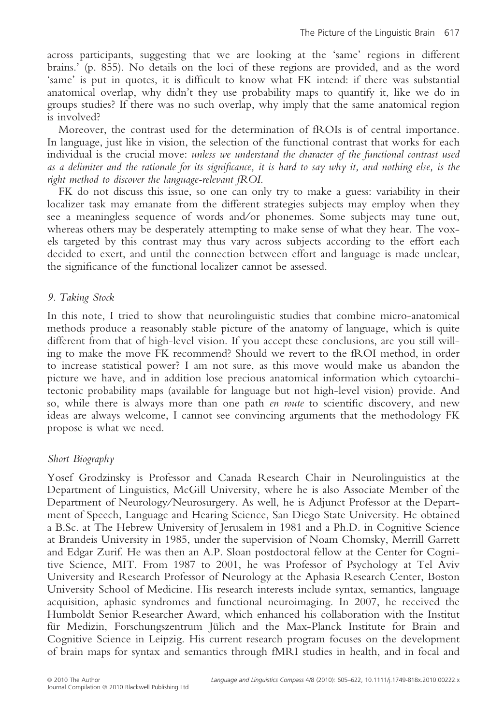across participants, suggesting that we are looking at the 'same' regions in different brains.' (p. 855). No details on the loci of these regions are provided, and as the word 'same' is put in quotes, it is difficult to know what FK intend: if there was substantial anatomical overlap, why didn't they use probability maps to quantify it, like we do in groups studies? If there was no such overlap, why imply that the same anatomical region is involved?

Moreover, the contrast used for the determination of fROIs is of central importance. In language, just like in vision, the selection of the functional contrast that works for each individual is the crucial move: unless we understand the character of the functional contrast used as a delimiter and the rationale for its significance, it is hard to say why it, and nothing else, is the right method to discover the language-relevant fROI.

FK do not discuss this issue, so one can only try to make a guess: variability in their localizer task may emanate from the different strategies subjects may employ when they see a meaningless sequence of words and/or phonemes. Some subjects may tune out, whereas others may be desperately attempting to make sense of what they hear. The voxels targeted by this contrast may thus vary across subjects according to the effort each decided to exert, and until the connection between effort and language is made unclear, the significance of the functional localizer cannot be assessed.

## 9. Taking Stock

In this note, I tried to show that neurolinguistic studies that combine micro-anatomical methods produce a reasonably stable picture of the anatomy of language, which is quite different from that of high-level vision. If you accept these conclusions, are you still willing to make the move FK recommend? Should we revert to the fROI method, in order to increase statistical power? I am not sure, as this move would make us abandon the picture we have, and in addition lose precious anatomical information which cytoarchitectonic probability maps (available for language but not high-level vision) provide. And so, while there is always more than one path en route to scientific discovery, and new ideas are always welcome, I cannot see convincing arguments that the methodology FK propose is what we need.

# Short Biography

Yosef Grodzinsky is Professor and Canada Research Chair in Neurolinguistics at the Department of Linguistics, McGill University, where he is also Associate Member of the Department of Neurology/Neurosurgery. As well, he is Adjunct Professor at the Department of Speech, Language and Hearing Science, San Diego State University. He obtained a B.Sc. at The Hebrew University of Jerusalem in 1981 and a Ph.D. in Cognitive Science at Brandeis University in 1985, under the supervision of Noam Chomsky, Merrill Garrett and Edgar Zurif. He was then an A.P. Sloan postdoctoral fellow at the Center for Cognitive Science, MIT. From 1987 to 2001, he was Professor of Psychology at Tel Aviv University and Research Professor of Neurology at the Aphasia Research Center, Boston University School of Medicine. His research interests include syntax, semantics, language acquisition, aphasic syndromes and functional neuroimaging. In 2007, he received the Humboldt Senior Researcher Award, which enhanced his collaboration with the Institut fur Medizin, Forschungszentrum Jülich and the Max-Planck Institute for Brain and Cognitive Science in Leipzig. His current research program focuses on the development of brain maps for syntax and semantics through fMRI studies in health, and in focal and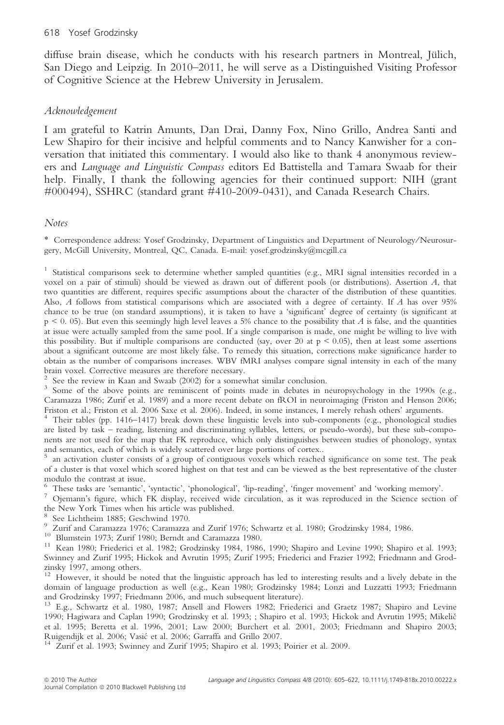diffuse brain disease, which he conducts with his research partners in Montreal, Jülich, San Diego and Leipzig. In 2010–2011, he will serve as a Distinguished Visiting Professor of Cognitive Science at the Hebrew University in Jerusalem.

## Acknowledgement

I am grateful to Katrin Amunts, Dan Drai, Danny Fox, Nino Grillo, Andrea Santi and Lew Shapiro for their incisive and helpful comments and to Nancy Kanwisher for a conversation that initiated this commentary. I would also like to thank 4 anonymous reviewers and Language and Linguistic Compass editors Ed Battistella and Tamara Swaab for their help. Finally, I thank the following agencies for their continued support: NIH (grant #000494), SSHRC (standard grant #410-2009-0431), and Canada Research Chairs.

## Notes

\* Correspondence address: Yosef Grodzinsky, Department of Linguistics and Department of Neurology ⁄ Neurosurgery, McGill University, Montreal, QC, Canada. E-mail: yosef.grodzinsky@mcgill.ca

<sup>1</sup> Statistical comparisons seek to determine whether sampled quantities (e.g., MRI signal intensities recorded in a voxel on a pair of stimuli) should be viewed as drawn out of different pools (or distributions). Assertion A, that two quantities are different, requires specific assumptions about the character of the distribution of these quantities. Also, A follows from statistical comparisons which are associated with a degree of certainty. If A has over 95% chance to be true (on standard assumptions), it is taken to have a 'significant' degree of certainty (is significant at  $p \le 0$ . 05). But even this seemingly high level leaves a 5% chance to the possibility that A is false, and the quantities at issue were actually sampled from the same pool. If a single comparison is made, one might be willing to live with this possibility. But if multiple comparisons are conducted (say, over 20 at  $p < 0.05$ ), then at least some assertions about a significant outcome are most likely false. To remedy this situation, corrections make significance harder to obtain as the number of comparisons increases. WBV fMRI analyses compare signal intensity in each of the many brain voxel. Corrective measures are therefore necessary.<br><sup>2</sup> See the review in Kaan and Swaab (2002) for a somewhat similar conclusion.

<sup>3</sup> Some of the above points are reminiscent of points made in debates in neuropsychology in the 1990s (e.g., Caramazza 1986; Zurif et al. 1989) and a more recent debate on fROI in neuroimaging (Friston and Henson 2006; Friston et al.; Friston et al. 2006 Saxe et al. 2006). Indeed, in some instances, I merely rehash others' arguments.

<sup>4</sup> Their tables (pp. 1416–1417) break down these linguistic levels into sub-components (e.g., phonological studies are listed by task – reading, listening and discriminating syllables, letters, or pseudo-words), but these sub-components are not used for the map that FK reproduce, which only distinguishes between studies of phonology, syntax and semantics, each of which is widely scattered over large portions of cortex..

<sup>5</sup> an activation cluster consists of a group of contiguous voxels which reached significance on some test. The peak of a cluster is that voxel which scored highest on that test and can be viewed as the best representative of the cluster modulo the contrast at issue.<br>
<sup>6</sup> These tasks are 'semantic', 'syntactic', 'phonological', 'lip-reading', 'finger movement' and 'working memory'.

Ojemann's figure, which FK display, received wide circulation, as it was reproduced in the Science section of the New York Times when his article was published.<br><sup>8</sup> See Lichtheim 1885; Geschwind 1970.

<sup>9</sup> Zurif and Caramazza 1976; Caramazza and Zurif 1976; Schwartz et al. 1980; Grodzinsky 1984, 1986.<br><sup>10</sup> Blumstein 1973; Zurif 1980; Berndt and Caramazza 1980.<br><sup>11</sup> Kean 1980; Friederici et al. 1982; Grodzinsky 1984, 1986 Swinney and Zurif 1995; Hickok and Avrutin 1995; Zurif 1995; Friederici and Frazier 1992; Friedmann and Grod-

zinsky 1997, among others. <sup>12</sup> However, it should be noted that the linguistic approach has led to interesting results and a lively debate in the domain of language production as well (e.g., Kean 1980; Grodzinsky 1984; Lonzi and Luzzatti 1993; Friedmann and Grodzinsky 1997; Friedmann 2006, and much subsequent literature).

<sup>13</sup> E.g., Schwartz et al. 1980, 1987; Ansell and Flowers 1982; Friederici and Graetz 1987; Shapiro and Levine 1990; Hagiwara and Caplan 1990; Grodzinsky et al. 1993; ; Shapiro et al. 1993; Hickok and Avrutin 1995; Mikelič et al. 1995; Beretta et al. 1996, 2001; Law 2000; Burchert et al. 2001, 2003; Friedmann and Shapiro 2003;

<sup>14</sup> Zurif et al. 1993; Swinney and Zurif 1995; Shapiro et al. 1993; Poirier et al. 2009.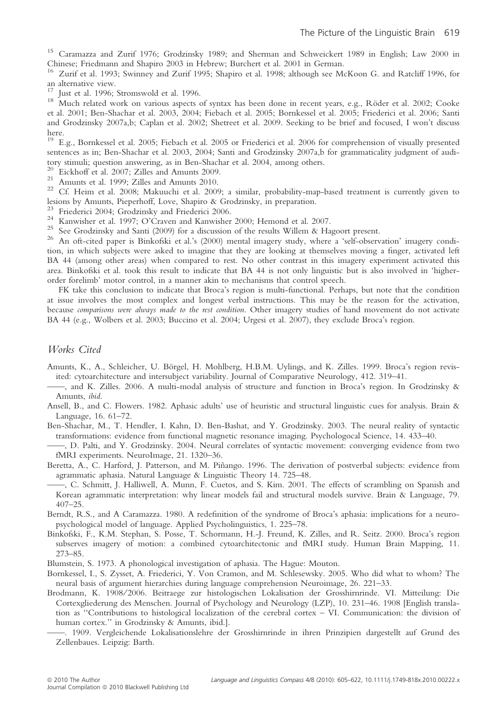<sup>15</sup> Caramazza and Zurif 1976; Grodzinsky 1989; and Sherman and Schweickert 1989 in English; Law 2000 in Chinese; Friedmann and Shapiro 2003 in Hebrew; Burchert et al. 2001 in German.

<sup>16</sup> Zurif et al. 1993; Swinney and Zurif 1995; Shapiro et al. 1998; although see McKoon G. and Ratcliff 1996, for an alternative view.<br><sup>17</sup> Just et al. 1996; Stromswold et al. 1996.

<sup>18</sup> Much related work on various aspects of syntax has been done in recent years, e.g., Röder et al. 2002; Cooke et al. 2001; Ben-Shachar et al. 2003, 2004; Fiebach et al. 2005; Bornkessel et al. 2005; Friederici et al. 2006; Santi and Grodzinsky 2007a,b; Caplan et al. 2002; Shetreet et al. 2009. Seeking to be brief and focused, I won't discuss here.

<sup>19</sup> E.g., Bornkessel et al. 2005; Fiebach et al. 2005 or Friederici et al. 2006 for comprehension of visually presented sentences as in; Ben-Shachar et al. 2003, 2004; Santi and Grodzinsky 2007a,b for grammaticality judgment of auditory stimuli; question answering, as in Ben-Shachar et al. 2004, among others.<br><sup>20</sup> Eickhoff et al. 2007; Zilles and Amunts 2009.

- 
- 

<sup>21</sup> Amunts et al. 1999; Zilles and Amunts 2010.<br><sup>22</sup> Cf. Heim et al. 2008; Makuuchi et al. 2009; a similar, probability-map-based treatment is currently given to lesions by Amunts, Pieperhoff, Love, Shapiro & Grodzinsky, in preparation.<br><sup>23</sup> Friederici 2004; Grodzinsky and Friederici 2006.

- 
- 

<sup>24</sup> Kanwisher et al. 1997; O'Craven and Kanwisher 2000; Hemond et al. 2007.<br><sup>25</sup> See Grodzinsky and Santi (2009) for a discussion of the results Willem & Hagoort present.<br><sup>25</sup> An oft-cited paper is Binkofski et al.'s (200 tion, in which subjects were asked to imagine that they are looking at themselves moving a finger, activated left BA 44 (among other areas) when compared to rest. No other contrast in this imagery experiment activated this area. Binkofski et al. took this result to indicate that BA 44 is not only linguistic but is also involved in 'higherorder forelimb' motor control, in a manner akin to mechanisms that control speech.

FK take this conclusion to indicate that Broca's region is multi-functional. Perhaps, but note that the condition at issue involves the most complex and longest verbal instructions. This may be the reason for the activation, because comparisons were always made to the rest condition. Other imagery studies of hand movement do not activate BA 44 (e.g., Wolbers et al. 2003; Buccino et al. 2004; Urgesi et al. 2007), they exclude Broca's region.

#### Works Cited

- Amunts, K., A., Schleicher, U. Börgel, H. Mohlberg, H.B.M. Uylings, and K. Zilles. 1999. Broca's region revisited: cytoarchitecture and intersubject variability. Journal of Comparative Neurology, 412. 319–41.
- ——, and K. Zilles. 2006. A multi-modal analysis of structure and function in Broca's region. In Grodzinsky & Amunts, ibid.
- Ansell, B., and C. Flowers. 1982. Aphasic adults' use of heuristic and structural linguistic cues for analysis. Brain & Language, 16. 61–72.

Ben-Shachar, M., T. Hendler, I. Kahn, D. Ben-Bashat, and Y. Grodzinsky. 2003. The neural reality of syntactic transformations: evidence from functional magnetic resonance imaging. Psychologocal Science, 14. 433–40.

——, D. Palti, and Y. Grodzinsky. 2004. Neural correlates of syntactic movement: converging evidence from two fMRI experiments. NeuroImage, 21. 1320–36.

Beretta, A., C. Harford, J. Patterson, and M. Piñango. 1996. The derivation of postverbal subjects: evidence from agrammatic aphasia. Natural Language & Linguistic Theory 14. 725–48.

——, C. Schmitt, J. Halliwell, A. Munn, F. Cuetos, and S. Kim. 2001. The effects of scrambling on Spanish and Korean agrammatic interpretation: why linear models fail and structural models survive. Brain & Language, 79. 407–25.

Berndt, R.S., and A Caramazza. 1980. A redefinition of the syndrome of Broca's aphasia: implications for a neuropsychological model of language. Applied Psycholinguistics, 1. 225–78.

- Binkofski, F., K.M. Stephan, S. Posse, T. Schormann, H.-J. Freund, K. Zilles, and R. Seitz. 2000. Broca's region subserves imagery of motion: a combined cytoarchitectonic and fMRI study. Human Brain Mapping, 11. 273–85.
- Blumstein, S. 1973. A phonological investigation of aphasia. The Hague: Mouton.
- Bornkessel, I., S. Zysset, A. Friederici, Y. Von Cramon, and M. Schlesewsky. 2005. Who did what to whom? The neural basis of argument hierarchies during language comprehension Neuroimage, 26. 221–33.
- Brodmann, K. 1908/2006. Beitraege zur histologischen Lokalisation der Grosshirnrinde. VI. Mitteilung: Die Cortexgliederung des Menschen. Journal of Psychology and Neurology (LZP), 10. 231–46. 1908 [English translation as ''Contributions to histological localization of the cerebral cortex – VI. Communication: the division of human cortex.'' in Grodzinsky & Amunts, ibid.].
	- ——. 1909. Vergleichende Lokalisationslehre der Grosshirnrinde in ihren Prinzipien dargestellt auf Grund des Zellenbaues. Leipzig: Barth.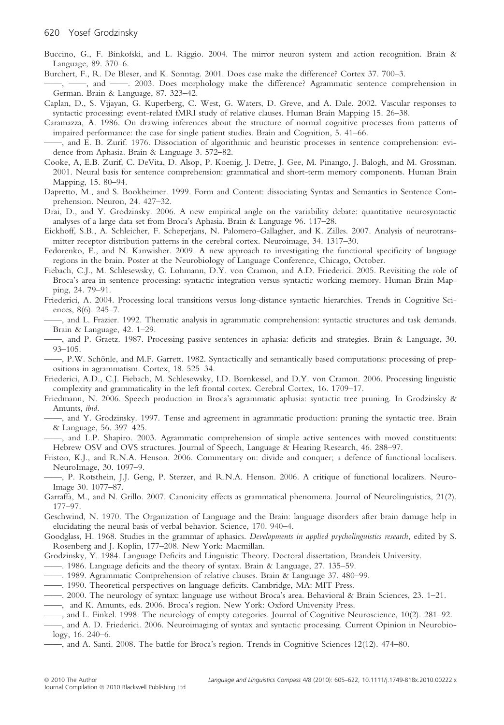- Buccino, G., F. Binkofski, and L. Riggio. 2004. The mirror neuron system and action recognition. Brain & Language, 89. 370–6.
- Burchert, F., R. De Bleser, and K. Sonntag. 2001. Does case make the difference? Cortex 37. 700–3.

——, ——, and ——. 2003. Does morphology make the difference? Agrammatic sentence comprehension in German. Brain & Language, 87. 323–42.

- Caplan, D., S. Vijayan, G. Kuperberg, C. West, G. Waters, D. Greve, and A. Dale. 2002. Vascular responses to syntactic processing: event-related fMRI study of relative clauses. Human Brain Mapping 15. 26–38.
- Caramazza, A. 1986. On drawing inferences about the structure of normal cognitive processes from patterns of impaired performance: the case for single patient studies. Brain and Cognition, 5. 41–66.

——, and E. B. Zurif. 1976. Dissociation of algorithmic and heuristic processes in sentence comprehension: evidence from Aphasia. Brain & Language 3. 572–82.

- Cooke, A, E.B. Zurif, C. DeVita, D. Alsop, P. Koenig, J. Detre, J. Gee, M. Pinango, J. Balogh, and M. Grossman. 2001. Neural basis for sentence comprehension: grammatical and short-term memory components. Human Brain Mapping, 15. 80–94.
- Dapretto, M., and S. Bookheimer. 1999. Form and Content: dissociating Syntax and Semantics in Sentence Comprehension. Neuron, 24. 427–32.
- Drai, D., and Y. Grodzinsky. 2006. A new empirical angle on the variability debate: quantitative neurosyntactic analyses of a large data set from Broca's Aphasia. Brain & Language 96. 117–28.
- Eickhoff, S.B., A. Schleicher, F. Scheperjans, N. Palomero-Gallagher, and K. Zilles. 2007. Analysis of neurotransmitter receptor distribution patterns in the cerebral cortex. Neuroimage, 34. 1317–30.
- Fedorenko, E., and N. Kanwisher. 2009. A new approach to investigating the functional specificity of language regions in the brain. Poster at the Neurobiology of Language Conference, Chicago, October.
- Fiebach, C.J., M. Schlesewsky, G. Lohmann, D.Y. von Cramon, and A.D. Friederici. 2005. Revisiting the role of Broca's area in sentence processing: syntactic integration versus syntactic working memory. Human Brain Mapping, 24. 79–91.
- Friederici, A. 2004. Processing local transitions versus long-distance syntactic hierarchies. Trends in Cognitive Sciences, 8(6). 245–7.
- ——, and L. Frazier. 1992. Thematic analysis in agrammatic comprehension: syntactic structures and task demands. Brain & Language, 42. 1–29.
- ——, and P. Graetz. 1987. Processing passive sentences in aphasia: deficits and strategies. Brain & Language, 30. 93–105.

——, P.W. Scho¨nle, and M.F. Garrett. 1982. Syntactically and semantically based computations: processing of prepositions in agrammatism. Cortex, 18. 525–34.

- Friederici, A.D., C.J. Fiebach, M. Schlesewsky, I.D. Bornkessel, and D.Y. von Cramon. 2006. Processing linguistic complexity and grammaticality in the left frontal cortex. Cerebral Cortex, 16. 1709–17.
- Friedmann, N. 2006. Speech production in Broca's agrammatic aphasia: syntactic tree pruning. In Grodzinsky & Amunts, ibid.
	- ——, and Y. Grodzinsky. 1997. Tense and agreement in agrammatic production: pruning the syntactic tree. Brain & Language, 56. 397–425.
- ——, and L.P. Shapiro. 2003. Agrammatic comprehension of simple active sentences with moved constituents: Hebrew OSV and OVS structures. Journal of Speech, Language & Hearing Research, 46. 288–97.
- Friston, K.J., and R.N.A. Henson. 2006. Commentary on: divide and conquer; a defence of functional localisers. NeuroImage, 30. 1097–9.
- ——, P. Rotsthein, J.J. Geng, P. Sterzer, and R.N.A. Henson. 2006. A critique of functional localizers. Neuro-Image 30. 1077–87.
- Garraffa, M., and N. Grillo. 2007. Canonicity effects as grammatical phenomena. Journal of Neurolinguistics, 21(2). 177–97.
- Geschwind, N. 1970. The Organization of Language and the Brain: language disorders after brain damage help in elucidating the neural basis of verbal behavior. Science, 170. 940–4.
- Goodglass, H. 1968. Studies in the grammar of aphasics. Developments in applied psycholinguistics research, edited by S. Rosenberg and J. Koplin, 177–208. New York: Macmillan.
- Grodzinsky, Y. 1984. Language Deficits and Linguistic Theory. Doctoral dissertation, Brandeis University.
- ——. 1986. Language deficits and the theory of syntax. Brain & Language, 27. 135–59.
- ——. 1989. Agrammatic Comprehension of relative clauses. Brain & Language 37. 480–99.
- ——. 1990. Theoretical perspectives on language deficits. Cambridge, MA: MIT Press.
- ——. 2000. The neurology of syntax: language use without Broca's area. Behavioral & Brain Sciences, 23. 1–21.
- ——, and K. Amunts, eds. 2006. Broca's region. New York: Oxford University Press.
- ——, and L. Finkel. 1998. The neurology of empty categories. Journal of Cognitive Neuroscience, 10(2). 281–92.
- ——, and A. D. Friederici. 2006. Neuroimaging of syntax and syntactic processing. Current Opinion in Neurobiology, 16. 240–6.
- ——, and A. Santi. 2008. The battle for Broca's region. Trends in Cognitive Sciences 12(12). 474–80.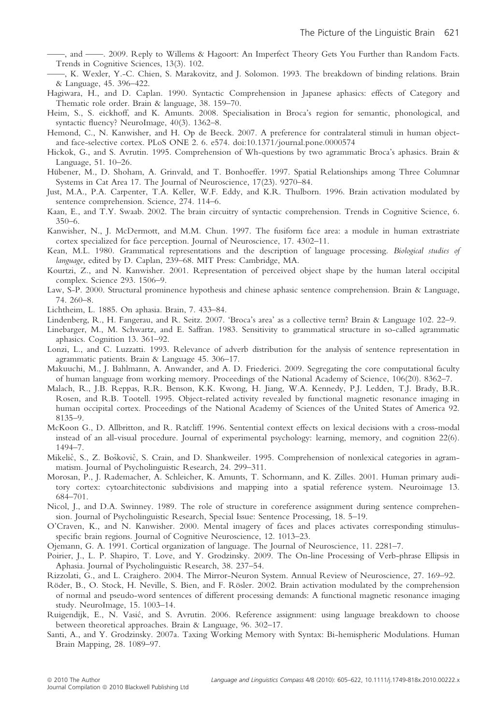——, and ——. 2009. Reply to Willems & Hagoort: An Imperfect Theory Gets You Further than Random Facts. Trends in Cognitive Sciences, 13(3). 102.

——, K. Wexler, Y.-C. Chien, S. Marakovitz, and J. Solomon. 1993. The breakdown of binding relations. Brain & Language, 45. 396–422.

- Hagiwara, H., and D. Caplan. 1990. Syntactic Comprehension in Japanese aphasics: effects of Category and Thematic role order. Brain & language, 38. 159–70.
- Heim, S., S. eickhoff, and K. Amunts. 2008. Specialisation in Broca's region for semantic, phonological, and syntactic fluency? NeuroImage, 40(3). 1362–8.
- Hemond, C., N. Kanwisher, and H. Op de Beeck. 2007. A preference for contralateral stimuli in human objectand face-selective cortex. PLoS ONE 2. 6. e574. doi:10.1371/journal.pone.0000574
- Hickok, G., and S. Avrutin. 1995. Comprehension of Wh-questions by two agrammatic Broca's aphasics. Brain & Language, 51. 10–26.
- Hübener, M., D. Shoham, A. Grinvald, and T. Bonhoeffer. 1997. Spatial Relationships among Three Columnar Systems in Cat Area 17. The Journal of Neuroscience, 17(23). 9270–84.
- Just, M.A., P.A. Carpenter, T.A. Keller, W.F. Eddy, and K.R. Thulborn. 1996. Brain activation modulated by sentence comprehension. Science, 274. 114–6.
- Kaan, E., and T.Y. Swaab. 2002. The brain circuitry of syntactic comprehension. Trends in Cognitive Science, 6. 350–6.
- Kanwisher, N., J. McDermott, and M.M. Chun. 1997. The fusiform face area: a module in human extrastriate cortex specialized for face perception. Journal of Neuroscience, 17. 4302–11.
- Kean, M.L. 1980. Grammatical representations and the description of language processing. Biological studies of language, edited by D. Caplan, 239–68. MIT Press: Cambridge, MA.
- Kourtzi, Z., and N. Kanwisher. 2001. Representation of perceived object shape by the human lateral occipital complex. Science 293. 1506–9.
- Law, S-P. 2000. Structural prominence hypothesis and chinese aphasic sentence comprehension. Brain & Language, 74. 260–8.
- Lichtheim, L. 1885. On aphasia. Brain, 7. 433–84.
- Lindenberg, R., H. Fangerau, and R. Seitz. 2007. 'Broca's area' as a collective term? Brain & Language 102. 22–9.
- Linebarger, M., M. Schwartz, and E. Saffran. 1983. Sensitivity to grammatical structure in so-called agrammatic aphasics. Cognition 13. 361–92.
- Lonzi, L., and C. Luzzatti. 1993. Relevance of adverb distribution for the analysis of sentence representation in agrammatic patients. Brain & Language 45. 306–17.
- Makuuchi, M., J. Bahlmann, A. Anwander, and A. D. Friederici. 2009. Segregating the core computational faculty of human language from working memory. Proceedings of the National Academy of Science, 106(20). 8362–7.
- Malach, R., J.B. Reppas, R.R. Benson, K.K. Kwong, H. Jiang, W.A. Kennedy, P.J. Ledden, T.J. Brady, B.R. Rosen, and R.B. Tootell. 1995. Object-related activity revealed by functional magnetic resonance imaging in human occipital cortex. Proceedings of the National Academy of Sciences of the United States of America 92. 8135–9.
- McKoon G., D. Allbritton, and R. Ratcliff. 1996. Sentential context effects on lexical decisions with a cross-modal instead of an all-visual procedure. Journal of experimental psychology: learning, memory, and cognition 22(6). 1494–7.
- Mikelič, S., Z. Boškovič, S. Crain, and D. Shankweiler. 1995. Comprehension of nonlexical categories in agrammatism. Journal of Psycholinguistic Research, 24. 299–311.
- Morosan, P., J. Rademacher, A. Schleicher, K. Amunts, T. Schormann, and K. Zilles. 2001. Human primary auditory cortex: cytoarchitectonic subdivisions and mapping into a spatial reference system. Neuroimage 13. 684–701.
- Nicol, J., and D.A. Swinney. 1989. The role of structure in coreference assignment during sentence comprehension. Journal of Psycholinguistic Research, Special Issue: Sentence Processing, 18. 5–19.
- O'Craven, K., and N. Kanwisher. 2000. Mental imagery of faces and places activates corresponding stimulusspecific brain regions. Journal of Cognitive Neuroscience, 12. 1013–23.
- Ojemann, G. A. 1991. Cortical organization of language. The Journal of Neuroscience, 11. 2281–7.
- Poirier, J., L. P. Shapiro, T. Love, and Y. Grodzinsky. 2009. The On-line Processing of Verb-phrase Ellipsis in Aphasia. Journal of Psycholinguistic Research, 38. 237–54.
- Rizzolati, G., and L. Craighero. 2004. The Mirror-Neuron System. Annual Review of Neuroscience, 27. 169–92.
- Röder, B., O. Stock, H. Neville, S. Bien, and F. Rösler. 2002. Brain activation modulated by the comprehension of normal and pseudo-word sentences of different processing demands: A functional magnetic resonance imaging study. NeuroImage, 15. 1003–14.
- Ruigendijk, E., N. Vasić, and S. Avrutin. 2006. Reference assignment: using language breakdown to choose between theoretical approaches. Brain & Language, 96. 302–17.
- Santi, A., and Y. Grodzinsky. 2007a. Taxing Working Memory with Syntax: Bi-hemispheric Modulations. Human Brain Mapping, 28. 1089–97.